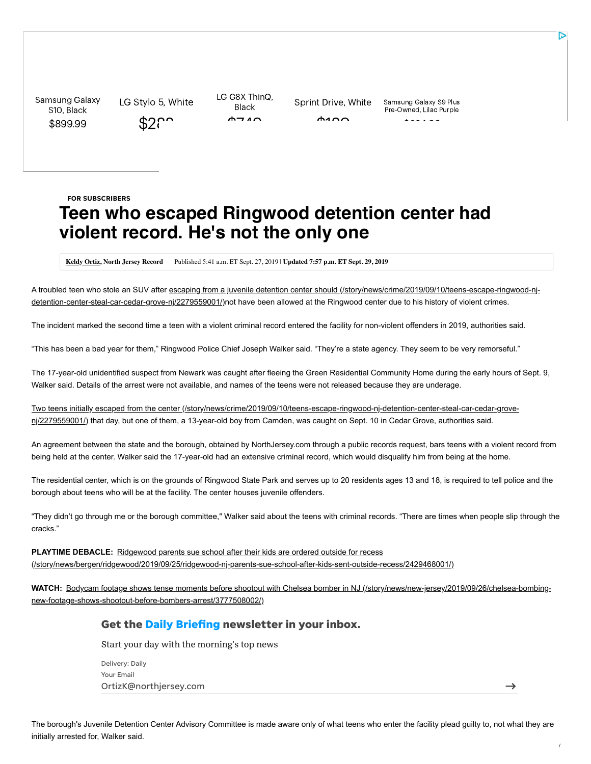Samsung Galaxy S10, Black [\\$899.99](https://cat.va.us.criteo.com/delivery/ck.php?cppv=3&cpp=-dZFFYeoz4sY80QqXhI9Tk9Vqp8FYrvt9I1RAnEa5fKUIGgoVXhMOO6UMFK_Sq-hu6dUXaVZPfRhe1kngnMjxD7JCiCnIs2_TDBp8_Gvw3GrLDKFdqKb37iNKRCOXj6ZAho64iPDkfVeCAH5g1wR6jCDJdB6siMbM3XDacNK1FRmwFP4lH2vKJ4cH85SXIDo-K4zwvD2J7Cj9LHrzhXqSYrDU6CnB_uN0S04RqV1tet5h9Zji-v3QdmSFp6qqV3Ssox6OwCNU3mRDbVRwJ48AusROuimjF7nFL0ArbevC2JAjMuxlu3_QVNIm0LFQpf0srTkwpczdsFnsJAr0R0d0oXRwRIOKUGsF3-e0EZTigmG_Fq1ph4G3YvH21G6lTnp3HFaSr9a80J5TiYlvk4yDyjGO4aNyPNo61tVbPId4VlVab8gdTXxCn1ZfW7h9w_ApBz04MhbnCIOQDWPjBve_e_AFuQ&maxdest=https%3A%2F%2Fad.doubleclick.net%2Fddm%2Ftrackclk%2FN7443.154378CRITEO%2FB22391382.242942564%3Bdc_trk_aid%3D439765930%3Bdc_trk_cid%3D113905611%3Bdc_lat%3D%3Bdc_rdid%3D%3Btag_for_child_directed_treatment%3D%3Btfua%3D%3Fhttps%3A%2F%2Fwww.sprint.com%2Fen%2Fshop%2Fcell-phones%2Fsamsung-galaxy-s10.html%3FensembleId%3DSPHG973UBLK%26duration%3D0%26contractType%3Dretail%26isDeepLinked%3Dtrue%26contractName%3D0-yr%26cm_mmc%3DWeb-_-LowerFunnel-_-AppleUsersDynamic-_-232666685)

LG Stylo 5, White  $$25$ 

LG G8X ThinQ, Black  $A \rightarrow A$ 

 $\Delta$ 100

Sprint Drive, White Samsung Galaxy S9 Plus Pre-Owned, Lilac Purple  $*$   $*$   $*$   $*$   $*$ 

## **Teen who escaped Ringwood detention center had violent record. He's not the only one** FOR SUBSCRIBERS

**[Keldy Ortiz,](http://www.northjersey.com/staff/kortiz2/keldy-ortiz/) North Jersey Record** Published 5:41 a.m. ET Sept. 27, 2019 | **Updated 7:57 p.m. ET Sept. 29, 2019**

[A troubled teen who stole an SUV after escaping from a juvenile detention center should \(/story/news/crime/2019/09/10/teens-escape-ringwood-nj](https://www.northjersey.com/story/news/crime/2019/09/10/teens-escape-ringwood-nj-detention-center-steal-car-cedar-grove-nj/2279559001/)detention-center-steal-car-cedar-grove-nj/2279559001/)not have been allowed at the Ringwood center due to his history of violent crimes.

The incident marked the second time a teen with a violent criminal record entered the facility for non-violent offenders in 2019, authorities said.

"This has been a bad year for them," Ringwood Police Chief Joseph Walker said. "They're a state agency. They seem to be very remorseful."

The 17-year-old unidentified suspect from Newark was caught after fleeing the Green Residential Community Home during the early hours of Sept. 9, Walker said. Details of the arrest were not available, and names of the teens were not released because they are underage.

[Two teens initially escaped from the center \(/story/news/crime/2019/09/10/teens-escape-ringwood-nj-detention-center-steal-car-cedar-grove](https://www.northjersey.com/story/news/crime/2019/09/10/teens-escape-ringwood-nj-detention-center-steal-car-cedar-grove-nj/2279559001/)nj/2279559001/) that day, but one of them, a 13-year-old boy from Camden, was caught on Sept. 10 in Cedar Grove, authorities said.

An agreement between the state and the borough, obtained by NorthJersey.com through a public records request, bars teens with a violent record from being held at the center. Walker said the 17-year-old had an extensive criminal record, which would disqualify him from being at the home.

The residential center, which is on the grounds of Ringwood State Park and serves up to 20 residents ages 13 and 18, is required to tell police and the borough about teens who will be at the facility. The center houses juvenile offenders.

"They didn't go through me or the borough committee," Walker said about the teens with criminal records. "There are times when people slip through the cracks."

**PLAYTIME DEBACLE:** Ridgewood parents sue school after their kids are ordered outside for recess [\(/story/news/bergen/ridgewood/2019/09/25/ridgewood-nj-parents-sue-school-after-kids-sent-outside-recess/2429468001/\)](https://www.northjersey.com/story/news/bergen/ridgewood/2019/09/25/ridgewood-nj-parents-sue-school-after-kids-sent-outside-recess/2429468001/)

WATCH: [Bodycam footage shows tense moments before shootout with Chelsea bomber in NJ \(/story/news/new-jersey/2019/09/26/chelsea-bombing](https://www.northjersey.com/story/news/new-jersey/2019/09/26/chelsea-bombing-new-footage-shows-shootout-before-bombers-arrest/3777508002/)new-footage-shows-shootout-before-bombers-arrest/3777508002/)

#### Get the Daily Briefing newsletter in your inbox.

Start your day with the morning's top news

Delivery: Daily OrtizK@northjersey.com Your Email

 $\rightarrow$ 

The borough's Juvenile Detention Center Advisory Committee is made aware only of what teens who enter the facility plead guilty to, not what they are initially arrested for, Walker said.

ъ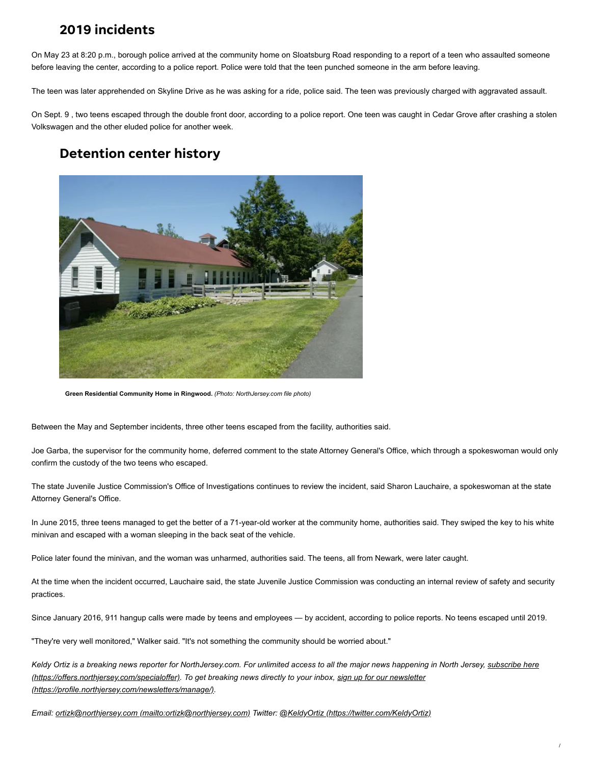#### 2019 incidents

On May 23 at 8:20 p.m., borough police arrived at the community home on Sloatsburg Road responding to a report of a teen who assaulted someone before leaving the center, according to a police report. Police were told that the teen punched someone in the arm before leaving.

The teen was later apprehended on Skyline Drive as he was asking for a ride, police said. The teen was previously charged with aggravated assault.

On Sept. 9 , two teens escaped through the double front door, according to a police report. One teen was caught in Cedar Grove after crashing a stolen Volkswagen and the other eluded police for another week.

### Detention center history



**Green Residential Community Home in Ringwood.** *(Photo: NorthJersey.com file photo)*

Between the May and September incidents, three other teens escaped from the facility, authorities said.

Joe Garba, the supervisor for the community home, deferred comment to the state Attorney General's Office, which through a spokeswoman would only confirm the custody of the two teens who escaped.

The state Juvenile Justice Commission's Office of Investigations continues to review the incident, said Sharon Lauchaire, a spokeswoman at the state Attorney General's Office.

In June 2015, three teens managed to get the better of a 71-year-old worker at the community home, authorities said. They swiped the key to his white minivan and escaped with a woman sleeping in the back seat of the vehicle.

Police later found the minivan, and the woman was unharmed, authorities said. The teens, all from Newark, were later caught.

At the time when the incident occurred, Lauchaire said, the state Juvenile Justice Commission was conducting an internal review of safety and security practices.

Since January 2016, 911 hangup calls were made by teens and employees — by accident, according to police reports. No teens escaped until 2019.

"They're very well monitored," Walker said. "It's not something the community should be worried about."

*[Keldy Ortiz is a breaking news reporter for NorthJersey.com. For unlimited access to all the major news happening in North Jersey, subscribe here](https://offers.northjersey.com/specialoffer) [\(https://offers.northjersey.com/specialoffer\). To get breaking news directly to your inbox, sign up for our newsletter](https://profile.northjersey.com/newsletters/manage/) (https://profile.northjersey.com/newsletters/manage/).*

*Email: [ortizk@northjersey.com \(mailto:ortizk@northjersey.com\)](mailto:ortizk@northjersey.com) Twitter: [@KeldyOrtiz \(https://twitter.com/KeldyOrtiz\)](https://twitter.com/KeldyOrtiz)*